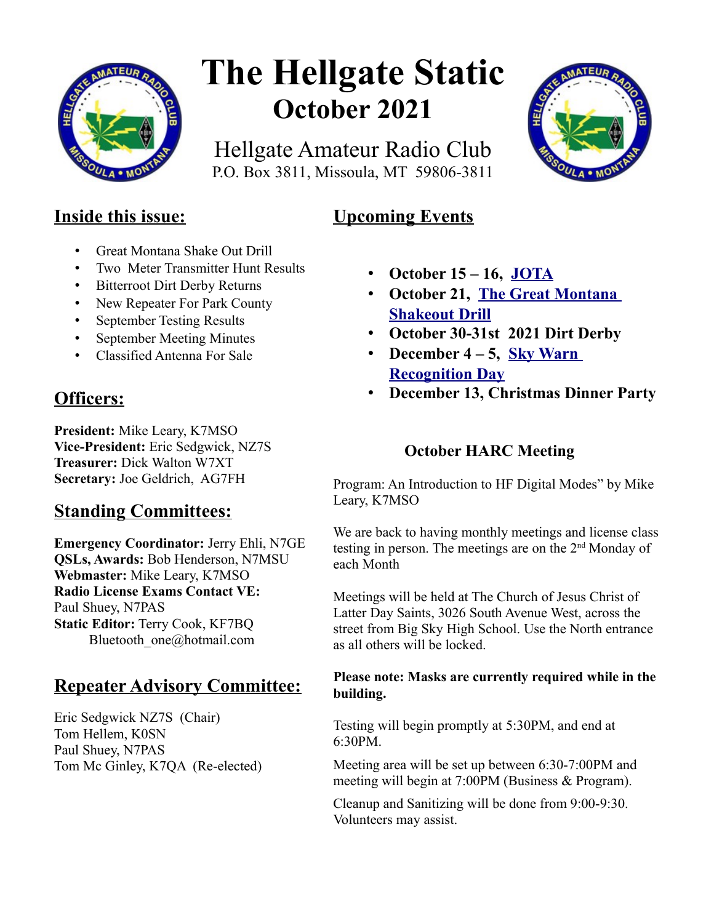

# **The Hellgate Static October 2021**

Hellgate Amateur Radio Club P.O. Box 3811, Missoula, MT 59806-3811



# **Inside this issue:**

- Great Montana Shake Out Drill
- Two Meter Transmitter Hunt Results
- Bitterroot Dirt Derby Returns
- New Repeater For Park County
- September Testing Results
- September Meeting Minutes
- Classified Antenna For Sale

# **Officers:**

**President:** Mike Leary, K7MSO **Vice-President:** Eric Sedgwick, NZ7S **Treasurer:** Dick Walton W7XT **Secretary:** Joe Geldrich, AG7FH

# **Standing Committees:**

**Emergency Coordinator:** Jerry Ehli, N7GE **QSLs, Awards:** Bob Henderson, N7MSU **Webmaster:** Mike Leary, K7MSO **Radio License Exams Contact VE:** Paul Shuey, N7PAS **Static Editor:** Terry Cook, KF7BQ Bluetooth\_one@hotmail.com

# **Repeater Advisory Committee:**

Eric Sedgwick NZ7S (Chair) Tom Hellem, K0SN Paul Shuey, N7PAS Tom Mc Ginley, K7QA (Re-elected)

# • **October 15 – 16, [JOTA](https://www.w7px.org/meetings-and-events/#jota)**

**Upcoming Events** 

- **October 21, [The Great Montana](https://www.w7px.org/meetings-and-events/#shakeout)  [Shakeout Drill](https://www.w7px.org/meetings-and-events/#shakeout)**
- **October 30-31st 2021 Dirt Derby**
- **December 4 5, [Sky Warn](http://www.arrl.org/skywarn-recognition-day)  [Recognition Day](http://www.arrl.org/skywarn-recognition-day)**
- **December 13, Christmas Dinner Party**

# **October HARC Meeting**

Program: An Introduction to HF Digital Modes" by Mike Leary, K7MSO

We are back to having monthly meetings and license class testing in person. The meetings are on the  $2<sup>nd</sup>$  Monday of each Month

Meetings will be held at The Church of Jesus Christ of Latter Day Saints, 3026 South Avenue West, across the street from Big Sky High School. Use the North entrance as all others will be locked.

#### **Please note: Masks are currently required while in the building.**

Testing will begin promptly at 5:30PM, and end at 6:30PM.

Meeting area will be set up between 6:30-7:00PM and meeting will begin at 7:00PM (Business & Program).

Cleanup and Sanitizing will be done from 9:00-9:30. Volunteers may assist.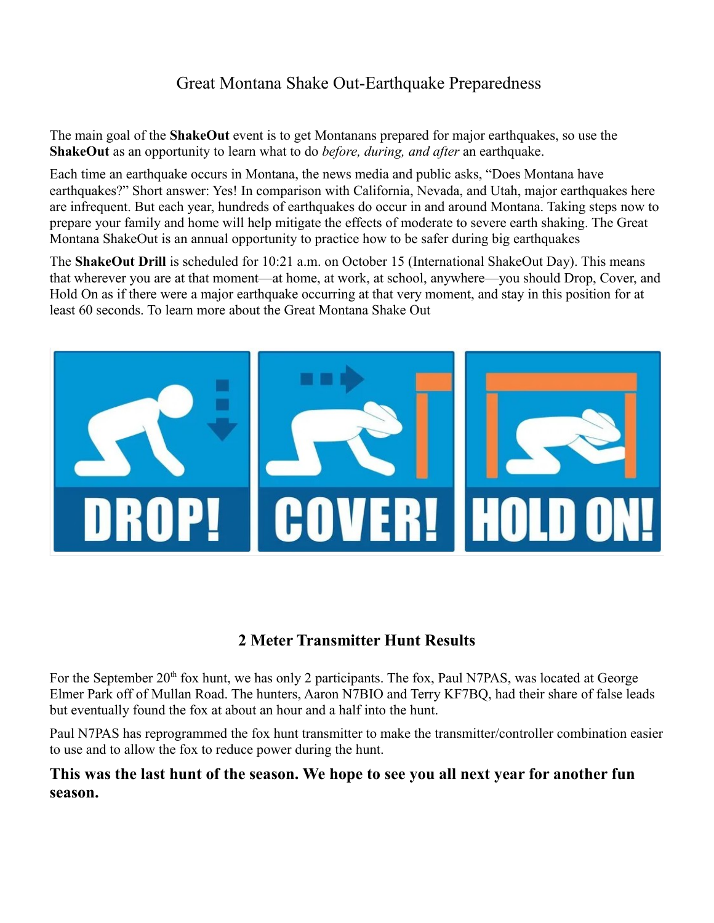# Great Montana Shake Out-Earthquake Preparedness

The main goal of the **ShakeOut** event is to get Montanans prepared for major earthquakes, so use the **ShakeOut** as an opportunity to learn what to do *before, during, and after* an earthquake.

Each time an earthquake occurs in Montana, the news media and public asks, "Does Montana have earthquakes?" Short answer: Yes! In comparison with California, Nevada, and Utah, major earthquakes here are infrequent. But each year, hundreds of earthquakes do occur in and around Montana. Taking steps now to prepare your family and home will help mitigate the effects of moderate to severe earth shaking. The Great Montana ShakeOut is an annual opportunity to practice how to be safer during big earthquakes

The **ShakeOut Drill** is scheduled for 10:21 a.m. on October 15 (International ShakeOut Day). This means that wherever you are at that moment—at home, at work, at school, anywhere—you should Drop, Cover, and Hold On as if there were a major earthquake occurring at that very moment, and stay in this position for at least 60 seconds. To learn more about the Great Montana Shake Out



## **2 Meter Transmitter Hunt Results**

For the September 20<sup>th</sup> fox hunt, we has only 2 participants. The fox, Paul N7PAS, was located at George Elmer Park off of Mullan Road. The hunters, Aaron N7BIO and Terry KF7BQ, had their share of false leads but eventually found the fox at about an hour and a half into the hunt.

Paul N7PAS has reprogrammed the fox hunt transmitter to make the transmitter/controller combination easier to use and to allow the fox to reduce power during the hunt.

#### **This was the last hunt of the season. We hope to see you all next year for another fun season.**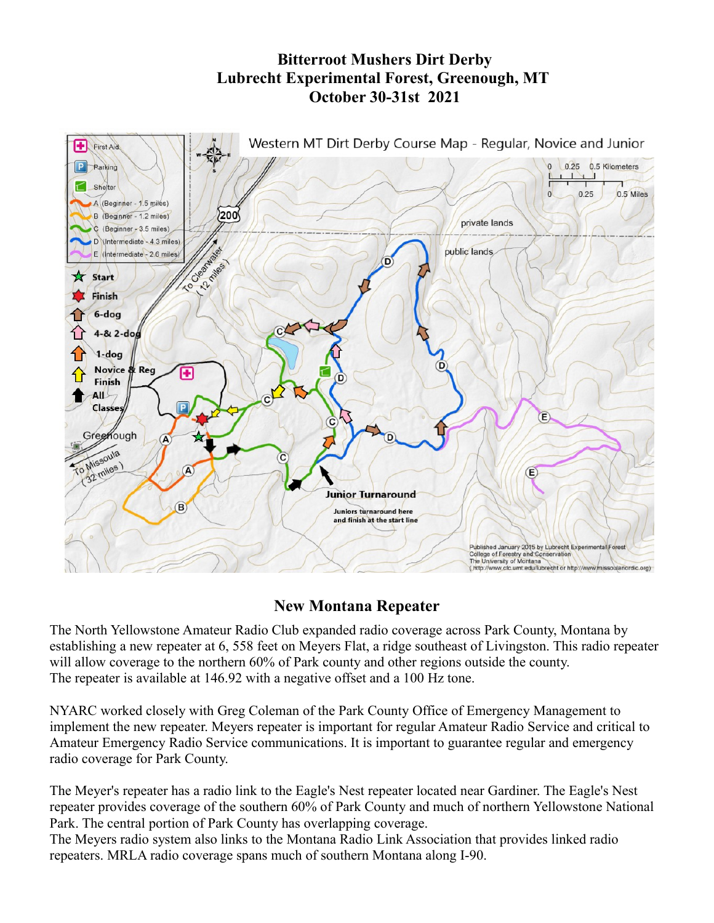# **Bitterroot Mushers Dirt Derby Lubrecht Experimental Forest, Greenough, MT October 30-31st 2021**



#### **New Montana Repeater**

The North Yellowstone Amateur Radio Club expanded radio coverage across Park County, Montana by establishing a new repeater at 6, 558 feet on Meyers Flat, a ridge southeast of Livingston. This radio repeater will allow coverage to the northern 60% of Park county and other regions outside the county. The repeater is available at 146.92 with a negative offset and a 100 Hz tone.

NYARC worked closely with Greg Coleman of the Park County Office of Emergency Management to implement the new repeater. Meyers repeater is important for regular Amateur Radio Service and critical to Amateur Emergency Radio Service communications. It is important to guarantee regular and emergency radio coverage for Park County.

The Meyer's repeater has a radio link to the Eagle's Nest repeater located near Gardiner. The Eagle's Nest repeater provides coverage of the southern 60% of Park County and much of northern Yellowstone National Park. The central portion of Park County has overlapping coverage.

The Meyers radio system also links to the Montana Radio Link Association that provides linked radio repeaters. MRLA radio coverage spans much of southern Montana along I-90.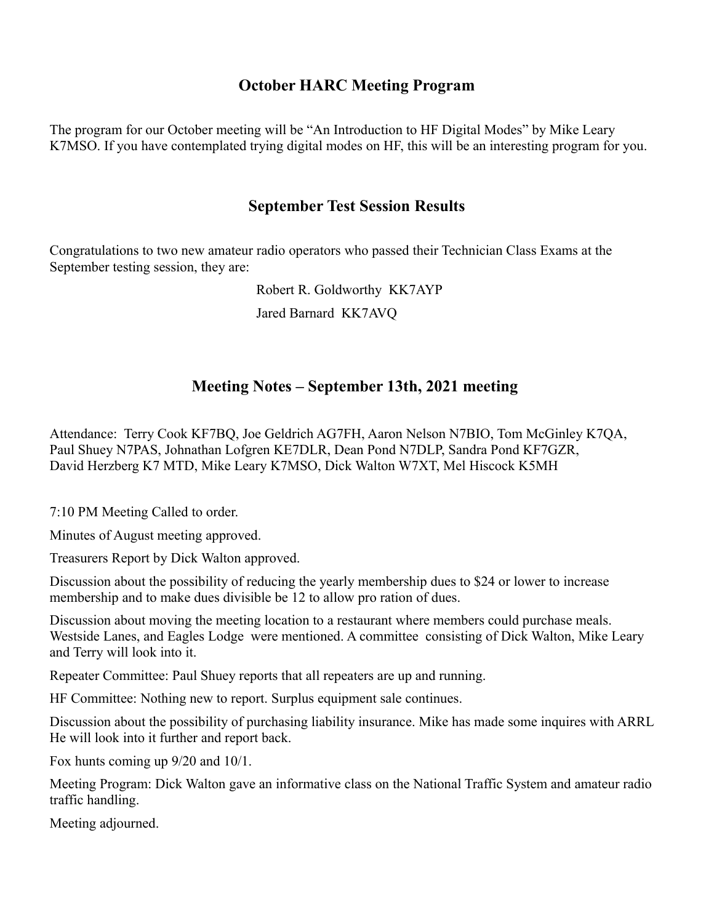### **October HARC Meeting Program**

The program for our October meeting will be "An Introduction to HF Digital Modes" by Mike Leary K7MSO. If you have contemplated trying digital modes on HF, this will be an interesting program for you.

#### **September Test Session Results**

Congratulations to two new amateur radio operators who passed their Technician Class Exams at the September testing session, they are:

Robert R. Goldworthy KK7AYP

Jared Barnard KK7AVQ

## **Meeting Notes – September 13th, 2021 meeting**

Attendance: Terry Cook KF7BQ, Joe Geldrich AG7FH, Aaron Nelson N7BIO, Tom McGinley K7QA, Paul Shuey N7PAS, Johnathan Lofgren KE7DLR, Dean Pond N7DLP, Sandra Pond KF7GZR, David Herzberg K7 MTD, Mike Leary K7MSO, Dick Walton W7XT, Mel Hiscock K5MH

7:10 PM Meeting Called to order.

Minutes of August meeting approved.

Treasurers Report by Dick Walton approved.

Discussion about the possibility of reducing the yearly membership dues to \$24 or lower to increase membership and to make dues divisible be 12 to allow pro ration of dues.

Discussion about moving the meeting location to a restaurant where members could purchase meals. Westside Lanes, and Eagles Lodge were mentioned. A committee consisting of Dick Walton, Mike Leary and Terry will look into it.

Repeater Committee: Paul Shuey reports that all repeaters are up and running.

HF Committee: Nothing new to report. Surplus equipment sale continues.

Discussion about the possibility of purchasing liability insurance. Mike has made some inquires with ARRL He will look into it further and report back.

Fox hunts coming up 9/20 and 10/1.

Meeting Program: Dick Walton gave an informative class on the National Traffic System and amateur radio traffic handling.

Meeting adjourned.